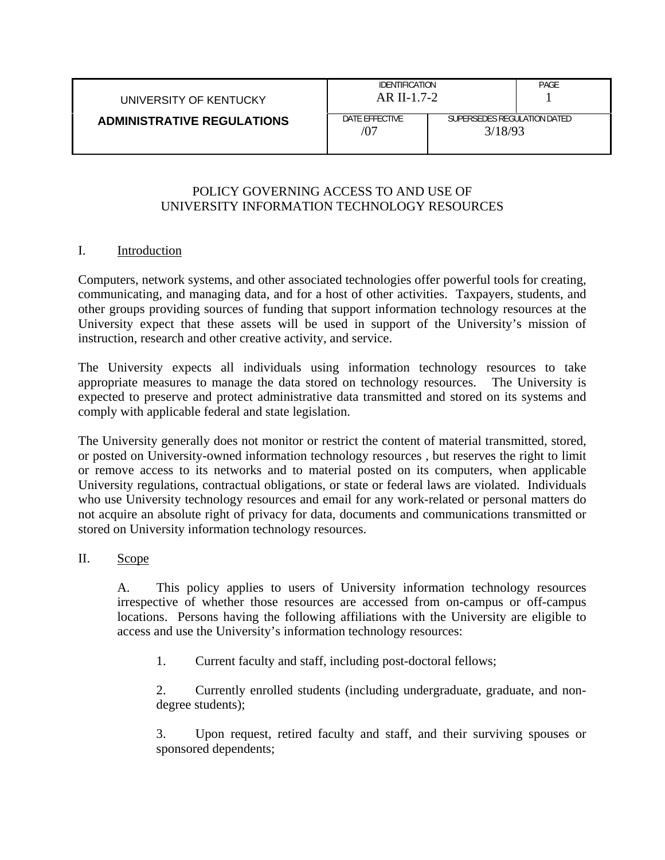| UNIVERSITY OF KENTUCKY            | IDENTIFICATION<br>$AR II-1.7-2$ |                                        | PAGE |
|-----------------------------------|---------------------------------|----------------------------------------|------|
| <b>ADMINISTRATIVE REGULATIONS</b> | DATE FFFFCTIVE                  | SUPERSEDES REGULATION DATED<br>3/18/93 |      |

### POLICY GOVERNING ACCESS TO AND USE OF UNIVERSITY INFORMATION TECHNOLOGY RESOURCES

### I. Introduction

Computers, network systems, and other associated technologies offer powerful tools for creating, communicating, and managing data, and for a host of other activities. Taxpayers, students, and other groups providing sources of funding that support information technology resources at the University expect that these assets will be used in support of the University's mission of instruction, research and other creative activity, and service.

The University expects all individuals using information technology resources to take appropriate measures to manage the data stored on technology resources. The University is expected to preserve and protect administrative data transmitted and stored on its systems and comply with applicable federal and state legislation.

The University generally does not monitor or restrict the content of material transmitted, stored, or posted on University-owned information technology resources , but reserves the right to limit or remove access to its networks and to material posted on its computers, when applicable University regulations, contractual obligations, or state or federal laws are violated. Individuals who use University technology resources and email for any work-related or personal matters do not acquire an absolute right of privacy for data, documents and communications transmitted or stored on University information technology resources.

#### II. Scope

A. This policy applies to users of University information technology resources irrespective of whether those resources are accessed from on-campus or off-campus locations. Persons having the following affiliations with the University are eligible to access and use the University's information technology resources:

1. Current faculty and staff, including post-doctoral fellows;

2. Currently enrolled students (including undergraduate, graduate, and nondegree students);

3. Upon request, retired faculty and staff, and their surviving spouses or sponsored dependents;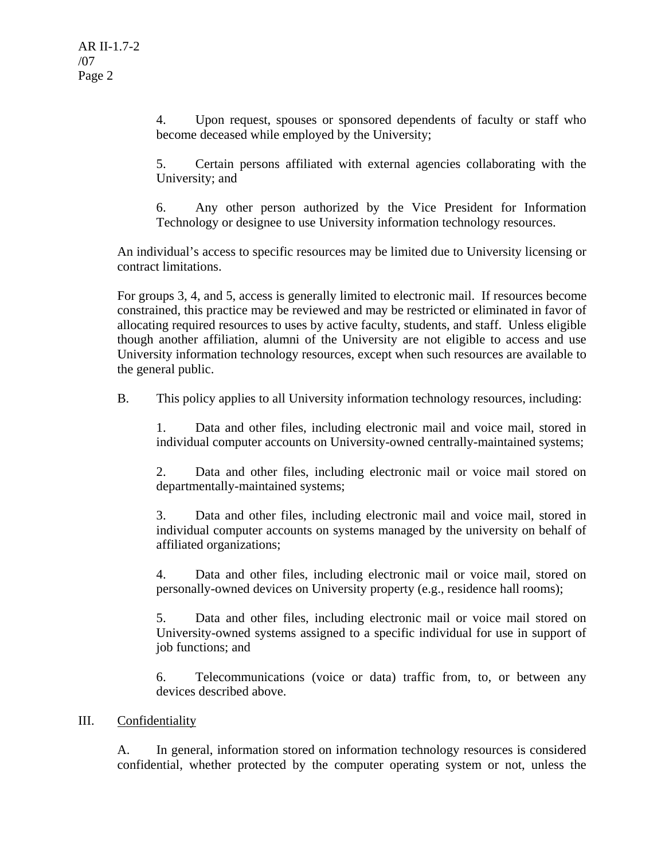4. Upon request, spouses or sponsored dependents of faculty or staff who become deceased while employed by the University;

5. Certain persons affiliated with external agencies collaborating with the University; and

6. Any other person authorized by the Vice President for Information Technology or designee to use University information technology resources.

An individual's access to specific resources may be limited due to University licensing or contract limitations.

For groups 3, 4, and 5, access is generally limited to electronic mail. If resources become constrained, this practice may be reviewed and may be restricted or eliminated in favor of allocating required resources to uses by active faculty, students, and staff. Unless eligible though another affiliation, alumni of the University are not eligible to access and use University information technology resources, except when such resources are available to the general public.

B. This policy applies to all University information technology resources, including:

1. Data and other files, including electronic mail and voice mail, stored in individual computer accounts on University-owned centrally-maintained systems;

2. Data and other files, including electronic mail or voice mail stored on departmentally-maintained systems;

3. Data and other files, including electronic mail and voice mail, stored in individual computer accounts on systems managed by the university on behalf of affiliated organizations;

4. Data and other files, including electronic mail or voice mail, stored on personally-owned devices on University property (e.g., residence hall rooms);

5. Data and other files, including electronic mail or voice mail stored on University-owned systems assigned to a specific individual for use in support of job functions; and

6. Telecommunications (voice or data) traffic from, to, or between any devices described above.

# III. Confidentiality

A. In general, information stored on information technology resources is considered confidential, whether protected by the computer operating system or not, unless the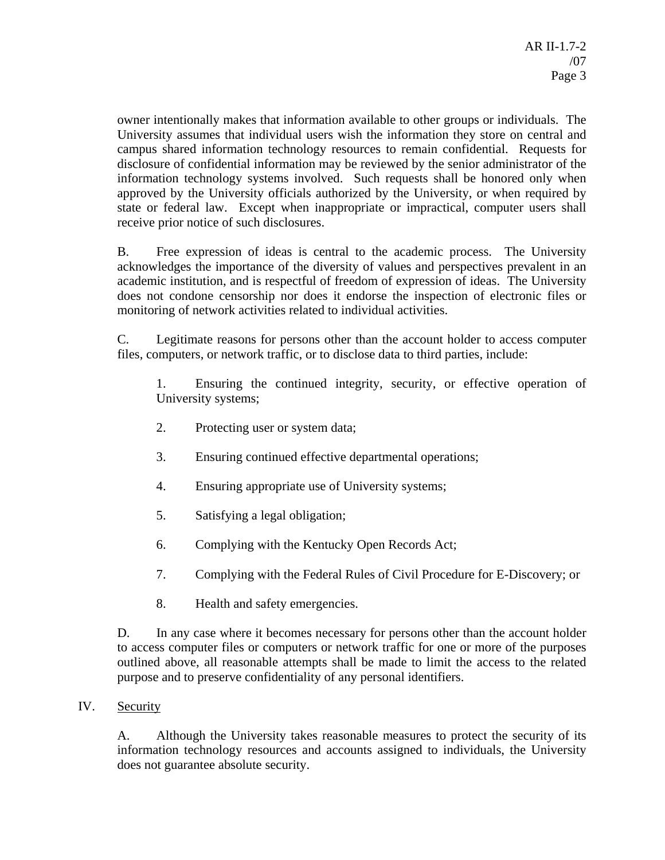owner intentionally makes that information available to other groups or individuals. The University assumes that individual users wish the information they store on central and campus shared information technology resources to remain confidential. Requests for disclosure of confidential information may be reviewed by the senior administrator of the information technology systems involved. Such requests shall be honored only when approved by the University officials authorized by the University, or when required by state or federal law. Except when inappropriate or impractical, computer users shall receive prior notice of such disclosures.

B. Free expression of ideas is central to the academic process. The University acknowledges the importance of the diversity of values and perspectives prevalent in an academic institution, and is respectful of freedom of expression of ideas. The University does not condone censorship nor does it endorse the inspection of electronic files or monitoring of network activities related to individual activities.

C. Legitimate reasons for persons other than the account holder to access computer files, computers, or network traffic, or to disclose data to third parties, include:

1. Ensuring the continued integrity, security, or effective operation of University systems;

- 2. Protecting user or system data;
- 3. Ensuring continued effective departmental operations;
- 4. Ensuring appropriate use of University systems;
- 5. Satisfying a legal obligation;
- 6. Complying with the Kentucky Open Records Act;
- 7. Complying with the Federal Rules of Civil Procedure for E-Discovery; or
- 8. Health and safety emergencies.

D. In any case where it becomes necessary for persons other than the account holder to access computer files or computers or network traffic for one or more of the purposes outlined above, all reasonable attempts shall be made to limit the access to the related purpose and to preserve confidentiality of any personal identifiers.

# IV. Security

A. Although the University takes reasonable measures to protect the security of its information technology resources and accounts assigned to individuals, the University does not guarantee absolute security.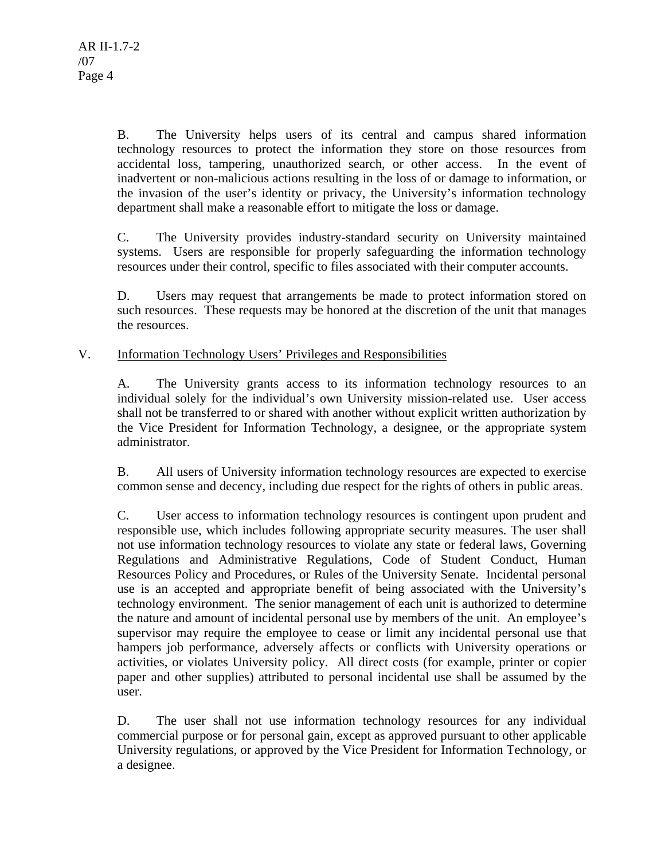B. The University helps users of its central and campus shared information technology resources to protect the information they store on those resources from accidental loss, tampering, unauthorized search, or other access. In the event of inadvertent or non-malicious actions resulting in the loss of or damage to information, or the invasion of the user's identity or privacy, the University's information technology department shall make a reasonable effort to mitigate the loss or damage.

C. The University provides industry-standard security on University maintained systems. Users are responsible for properly safeguarding the information technology resources under their control, specific to files associated with their computer accounts.

D. Users may request that arrangements be made to protect information stored on such resources. These requests may be honored at the discretion of the unit that manages the resources.

### V. Information Technology Users' Privileges and Responsibilities

A. The University grants access to its information technology resources to an individual solely for the individual's own University mission-related use. User access shall not be transferred to or shared with another without explicit written authorization by the Vice President for Information Technology, a designee, or the appropriate system administrator.

B. All users of University information technology resources are expected to exercise common sense and decency, including due respect for the rights of others in public areas.

C. User access to information technology resources is contingent upon prudent and responsible use, which includes following appropriate security measures. The user shall not use information technology resources to violate any state or federal laws, Governing Regulations and Administrative Regulations, Code of Student Conduct, Human Resources Policy and Procedures, or Rules of the University Senate. Incidental personal use is an accepted and appropriate benefit of being associated with the University's technology environment. The senior management of each unit is authorized to determine the nature and amount of incidental personal use by members of the unit. An employee's supervisor may require the employee to cease or limit any incidental personal use that hampers job performance, adversely affects or conflicts with University operations or activities, or violates University policy. All direct costs (for example, printer or copier paper and other supplies) attributed to personal incidental use shall be assumed by the user.

D. The user shall not use information technology resources for any individual commercial purpose or for personal gain, except as approved pursuant to other applicable University regulations, or approved by the Vice President for Information Technology, or a designee.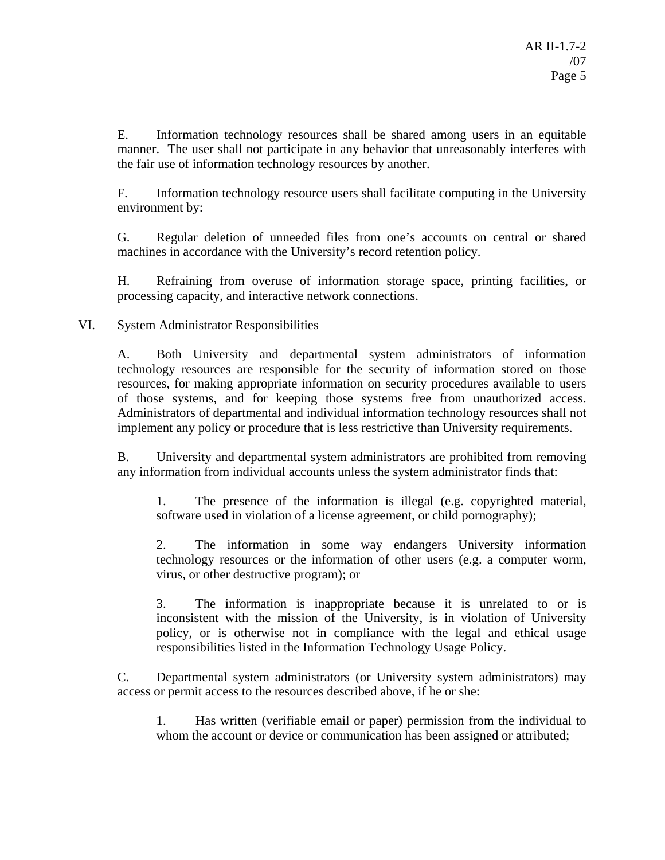E. Information technology resources shall be shared among users in an equitable manner. The user shall not participate in any behavior that unreasonably interferes with the fair use of information technology resources by another.

F. Information technology resource users shall facilitate computing in the University environment by:

G. Regular deletion of unneeded files from one's accounts on central or shared machines in accordance with the University's record retention policy.

H. Refraining from overuse of information storage space, printing facilities, or processing capacity, and interactive network connections.

VI. System Administrator Responsibilities

A. Both University and departmental system administrators of information technology resources are responsible for the security of information stored on those resources, for making appropriate information on security procedures available to users of those systems, and for keeping those systems free from unauthorized access. Administrators of departmental and individual information technology resources shall not implement any policy or procedure that is less restrictive than University requirements.

B. University and departmental system administrators are prohibited from removing any information from individual accounts unless the system administrator finds that:

1. The presence of the information is illegal (e.g. copyrighted material, software used in violation of a license agreement, or child pornography);

2. The information in some way endangers University information technology resources or the information of other users (e.g. a computer worm, virus, or other destructive program); or

3. The information is inappropriate because it is unrelated to or is inconsistent with the mission of the University, is in violation of University policy, or is otherwise not in compliance with the legal and ethical usage responsibilities listed in the Information Technology Usage Policy.

C. Departmental system administrators (or University system administrators) may access or permit access to the resources described above, if he or she:

1. Has written (verifiable email or paper) permission from the individual to whom the account or device or communication has been assigned or attributed;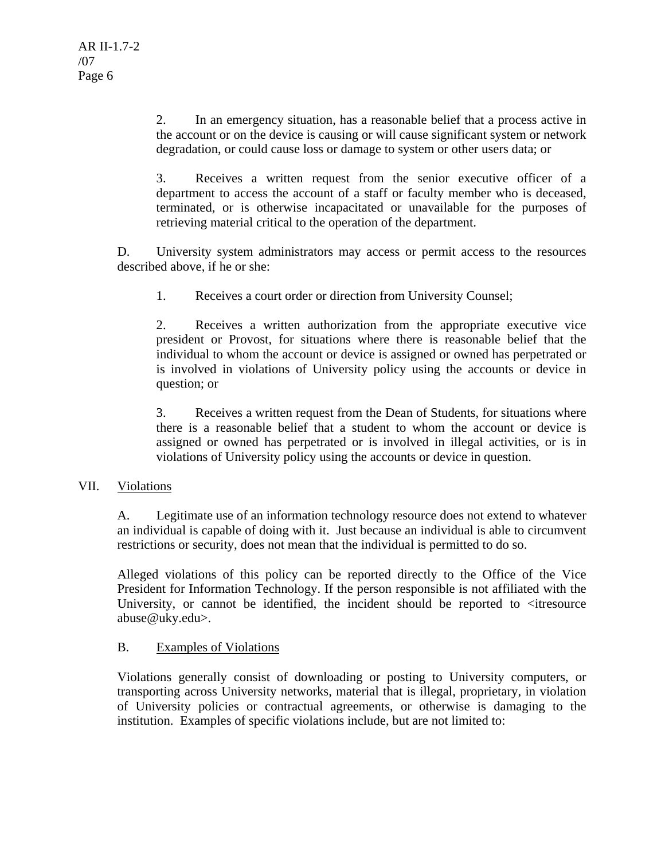2. In an emergency situation, has a reasonable belief that a process active in the account or on the device is causing or will cause significant system or network degradation, or could cause loss or damage to system or other users data; or

3. Receives a written request from the senior executive officer of a department to access the account of a staff or faculty member who is deceased, terminated, or is otherwise incapacitated or unavailable for the purposes of retrieving material critical to the operation of the department.

D. University system administrators may access or permit access to the resources described above, if he or she:

1. Receives a court order or direction from University Counsel;

2. Receives a written authorization from the appropriate executive vice president or Provost, for situations where there is reasonable belief that the individual to whom the account or device is assigned or owned has perpetrated or is involved in violations of University policy using the accounts or device in question; or

3. Receives a written request from the Dean of Students, for situations where there is a reasonable belief that a student to whom the account or device is assigned or owned has perpetrated or is involved in illegal activities, or is in violations of University policy using the accounts or device in question.

#### VII. Violations

A. Legitimate use of an information technology resource does not extend to whatever an individual is capable of doing with it. Just because an individual is able to circumvent restrictions or security, does not mean that the individual is permitted to do so.

Alleged violations of this policy can be reported directly to the Office of the Vice President for Information Technology. If the person responsible is not affiliated with the University, or cannot be identified, the incident should be reported to <itresource abuse@uky.edu>.

#### B. Examples of Violations

Violations generally consist of downloading or posting to University computers, or transporting across University networks, material that is illegal, proprietary, in violation of University policies or contractual agreements, or otherwise is damaging to the institution. Examples of specific violations include, but are not limited to: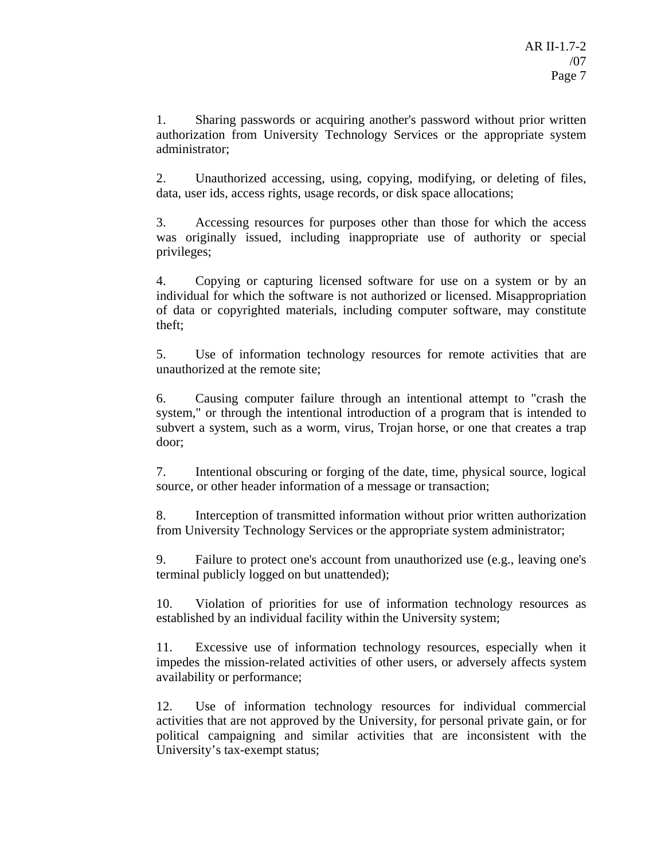1. Sharing passwords or acquiring another's password without prior written authorization from University Technology Services or the appropriate system administrator;

2. Unauthorized accessing, using, copying, modifying, or deleting of files, data, user ids, access rights, usage records, or disk space allocations;

3. Accessing resources for purposes other than those for which the access was originally issued, including inappropriate use of authority or special privileges;

4. Copying or capturing licensed software for use on a system or by an individual for which the software is not authorized or licensed. Misappropriation of data or copyrighted materials, including computer software, may constitute theft;

5. Use of information technology resources for remote activities that are unauthorized at the remote site;

6. Causing computer failure through an intentional attempt to "crash the system," or through the intentional introduction of a program that is intended to subvert a system, such as a worm, virus, Trojan horse, or one that creates a trap door;

7. Intentional obscuring or forging of the date, time, physical source, logical source, or other header information of a message or transaction;

8. Interception of transmitted information without prior written authorization from University Technology Services or the appropriate system administrator;

9. Failure to protect one's account from unauthorized use (e.g., leaving one's terminal publicly logged on but unattended);

10. Violation of priorities for use of information technology resources as established by an individual facility within the University system;

11. Excessive use of information technology resources, especially when it impedes the mission-related activities of other users, or adversely affects system availability or performance;

12. Use of information technology resources for individual commercial activities that are not approved by the University, for personal private gain, or for political campaigning and similar activities that are inconsistent with the University's tax-exempt status;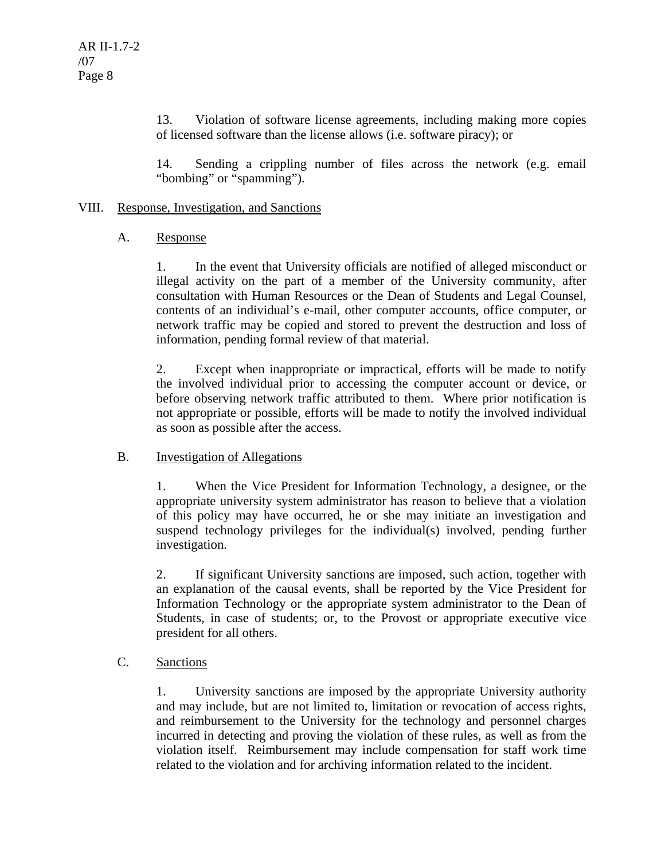13. Violation of software license agreements, including making more copies of licensed software than the license allows (i.e. software piracy); or

14. Sending a crippling number of files across the network (e.g. email "bombing" or "spamming").

#### VIII. Response, Investigation, and Sanctions

#### A. Response

1. In the event that University officials are notified of alleged misconduct or illegal activity on the part of a member of the University community, after consultation with Human Resources or the Dean of Students and Legal Counsel, contents of an individual's e-mail, other computer accounts, office computer, or network traffic may be copied and stored to prevent the destruction and loss of information, pending formal review of that material.

2. Except when inappropriate or impractical, efforts will be made to notify the involved individual prior to accessing the computer account or device, or before observing network traffic attributed to them. Where prior notification is not appropriate or possible, efforts will be made to notify the involved individual as soon as possible after the access.

# B. Investigation of Allegations

1. When the Vice President for Information Technology, a designee, or the appropriate university system administrator has reason to believe that a violation of this policy may have occurred, he or she may initiate an investigation and suspend technology privileges for the individual(s) involved, pending further investigation.

2. If significant University sanctions are imposed, such action, together with an explanation of the causal events, shall be reported by the Vice President for Information Technology or the appropriate system administrator to the Dean of Students, in case of students; or, to the Provost or appropriate executive vice president for all others.

# C. Sanctions

1. University sanctions are imposed by the appropriate University authority and may include, but are not limited to, limitation or revocation of access rights, and reimbursement to the University for the technology and personnel charges incurred in detecting and proving the violation of these rules, as well as from the violation itself. Reimbursement may include compensation for staff work time related to the violation and for archiving information related to the incident.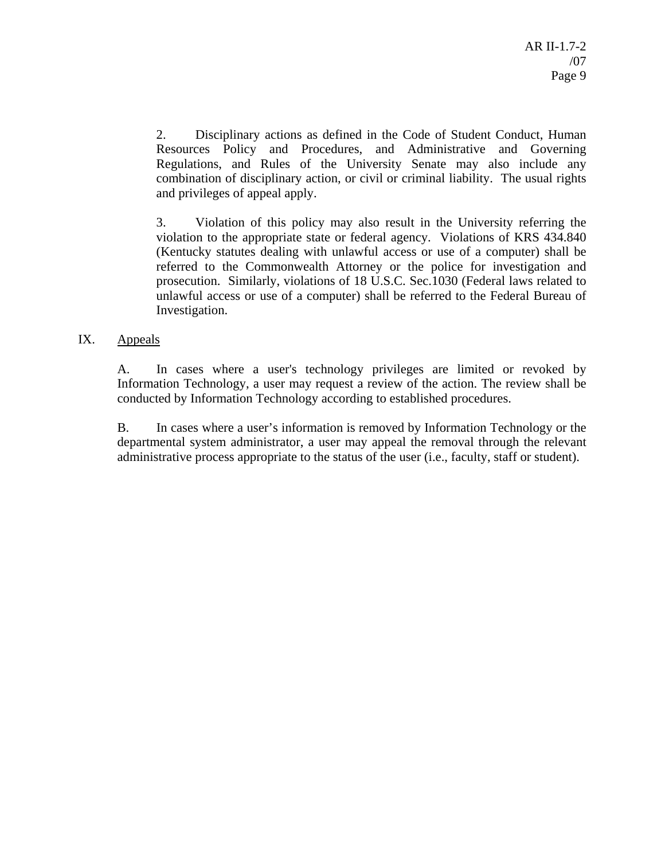2. Disciplinary actions as defined in the Code of Student Conduct, Human Resources Policy and Procedures, and Administrative and Governing Regulations, and Rules of the University Senate may also include any combination of disciplinary action, or civil or criminal liability. The usual rights and privileges of appeal apply.

3. Violation of this policy may also result in the University referring the violation to the appropriate state or federal agency. Violations of KRS 434.840 (Kentucky statutes dealing with unlawful access or use of a computer) shall be referred to the Commonwealth Attorney or the police for investigation and prosecution. Similarly, violations of 18 U.S.C. Sec.1030 (Federal laws related to unlawful access or use of a computer) shall be referred to the Federal Bureau of Investigation.

#### IX. Appeals

A. In cases where a user's technology privileges are limited or revoked by Information Technology, a user may request a review of the action. The review shall be conducted by Information Technology according to established procedures.

B. In cases where a user's information is removed by Information Technology or the departmental system administrator, a user may appeal the removal through the relevant administrative process appropriate to the status of the user (i.e., faculty, staff or student).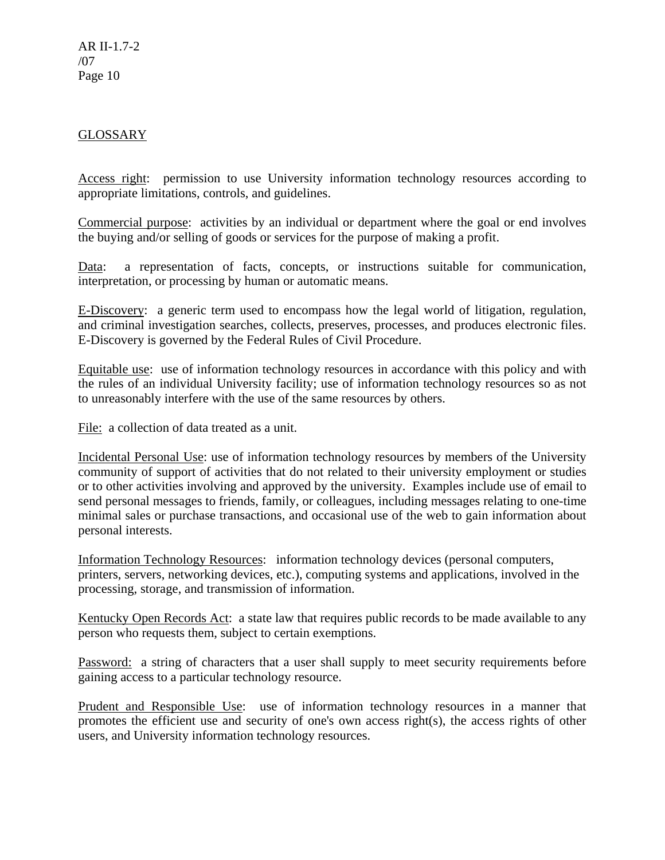AR II-1.7-2 /07 Page 10

### GLOSSARY

Access right: permission to use University information technology resources according to appropriate limitations, controls, and guidelines.

Commercial purpose: activities by an individual or department where the goal or end involves the buying and/or selling of goods or services for the purpose of making a profit.

Data: a representation of facts, concepts, or instructions suitable for communication, interpretation, or processing by human or automatic means.

E-Discovery: a generic term used to encompass how the legal world of litigation, regulation, and criminal investigation searches, collects, preserves, processes, and produces electronic files. E-Discovery is governed by the Federal Rules of Civil Procedure.

Equitable use: use of information technology resources in accordance with this policy and with the rules of an individual University facility; use of information technology resources so as not to unreasonably interfere with the use of the same resources by others.

File: a collection of data treated as a unit.

Incidental Personal Use: use of information technology resources by members of the University community of support of activities that do not related to their university employment or studies or to other activities involving and approved by the university. Examples include use of email to send personal messages to friends, family, or colleagues, including messages relating to one-time minimal sales or purchase transactions, and occasional use of the web to gain information about personal interests.

Information Technology Resources: information technology devices (personal computers, printers, servers, networking devices, etc.), computing systems and applications, involved in the processing, storage, and transmission of information.

Kentucky Open Records Act: a state law that requires public records to be made available to any person who requests them, subject to certain exemptions.

Password: a string of characters that a user shall supply to meet security requirements before gaining access to a particular technology resource.

Prudent and Responsible Use: use of information technology resources in a manner that promotes the efficient use and security of one's own access right(s), the access rights of other users, and University information technology resources.